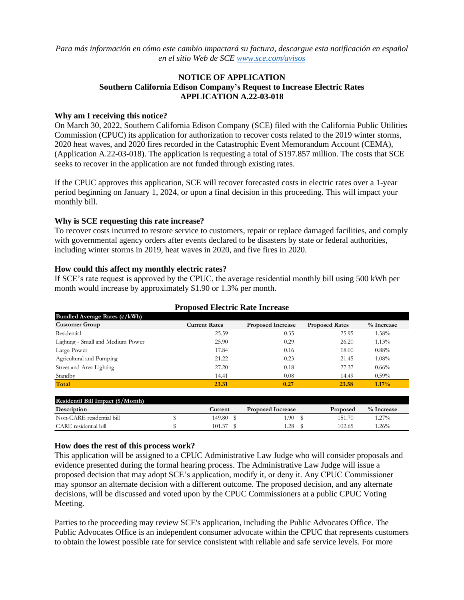*Para más información en cómo este cambio impactará su factura, descargue esta notificación en español en el sitio Web de SCE [www.sce.com/avisos](http://www.sce.com/avisos)*

# **NOTICE OF APPLICATION Southern California Edison Company's Request to Increase Electric Rates APPLICATION A.22-03-018**

#### **Why am I receiving this notice?**

On March 30, 2022, Southern California Edison Company (SCE) filed with the California Public Utilities Commission (CPUC) its application for authorization to recover costs related to the 2019 winter storms, 2020 heat waves, and 2020 fires recorded in the Catastrophic Event Memorandum Account (CEMA), (Application A.22-03-018). The application is requesting a total of \$197.857 million. The costs that SCE seeks to recover in the application are not funded through existing rates.

If the CPUC approves this application, SCE will recover forecasted costs in electric rates over a 1-year period beginning on January 1, 2024, or upon a final decision in this proceeding. This will impact your monthly bill.

### **Why is SCE requesting this rate increase?**

To recover costs incurred to restore service to customers, repair or replace damaged facilities, and comply with governmental agency orders after events declared to be disasters by state or federal authorities, including winter storms in 2019, heat waves in 2020, and five fires in 2020.

### **How could this affect my monthly electric rates?**

If SCE's rate request is approved by the CPUC, the average residential monthly bill using 500 kWh per month would increase by approximately \$1.90 or 1.3% per month.

| <b>Proposed Electric Rate Increase</b> |                      |                          |                       |               |  |  |  |  |  |
|----------------------------------------|----------------------|--------------------------|-----------------------|---------------|--|--|--|--|--|
| Bundled Average Rates $(\phi/kWh)$     |                      |                          |                       |               |  |  |  |  |  |
| <b>Customer Group</b>                  | <b>Current Rates</b> | <b>Proposed Increase</b> | <b>Proposed Rates</b> | $\%$ Increase |  |  |  |  |  |
| Residential                            | 25.59                | 0.35                     | 25.95                 | $1.38\%$      |  |  |  |  |  |
| Lighting - Small and Medium Power      | 25.90                | 0.29                     | 26.20                 | 1.13%         |  |  |  |  |  |
| Large Power                            | 17.84                | 0.16                     | 18.00                 | 0.88%         |  |  |  |  |  |
| Agricultural and Pumping               | 21.22                | 0.23                     | 21.45                 | $1.08\%$      |  |  |  |  |  |
| Street and Area Lighting               | 27.20                | 0.18                     | 27.37                 | 0.66%         |  |  |  |  |  |
| Standby                                | 14.41                | 0.08                     | 14.49                 | 0.59%         |  |  |  |  |  |
| Total                                  | 23.31                | 0.27                     | 23.58                 | $1.17\%$      |  |  |  |  |  |
|                                        |                      |                          |                       |               |  |  |  |  |  |

| Residentil Bill Impact (\$/Month) |         |                          |          |              |
|-----------------------------------|---------|--------------------------|----------|--------------|
| Description                       | Current | <b>Proposed Increase</b> | Proposed | $%$ Increase |
| Non-CARE residential bill         | 149.80  | .90                      | 151.70   | $.27\%$      |
| CARE residential bill             | 101.37  | .28                      | 102.65   | .26%         |

### **How does the rest of this process work?**

This application will be assigned to a CPUC Administrative Law Judge who will consider proposals and evidence presented during the formal hearing process. The Administrative Law Judge will issue a proposed decision that may adopt SCE's application, modify it, or deny it. Any CPUC Commissioner may sponsor an alternate decision with a different outcome. The proposed decision, and any alternate decisions, will be discussed and voted upon by the CPUC Commissioners at a public CPUC Voting Meeting.

Parties to the proceeding may review SCE's application, including the Public Advocates Office. The Public Advocates Office is an independent consumer advocate within the CPUC that represents customers to obtain the lowest possible rate for service consistent with reliable and safe service levels. For more